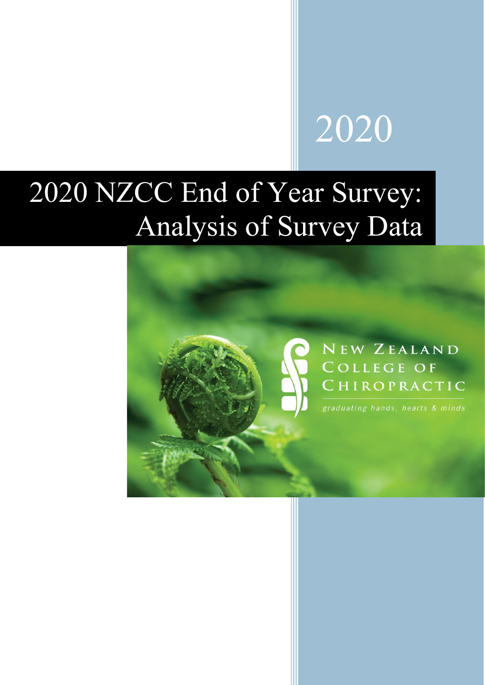# 

# NZCC End of Year Survey: Analysis of Survey Data

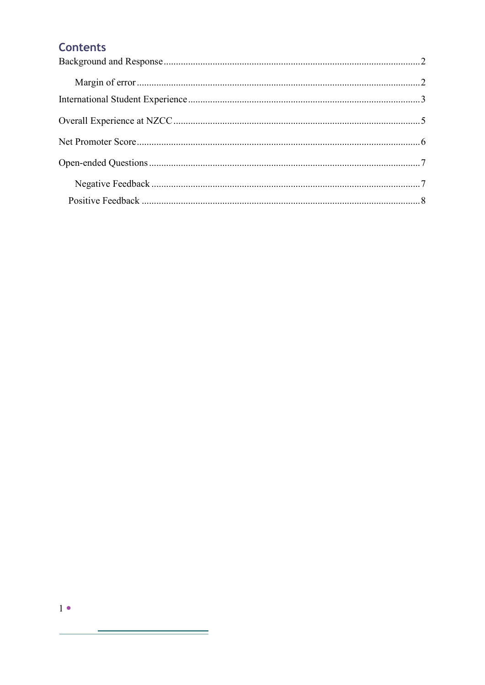# **Contents**

<u> Termin de la propincia de la propincia de la propincia de la propincia de la propincia de la propincia de la p</u>

÷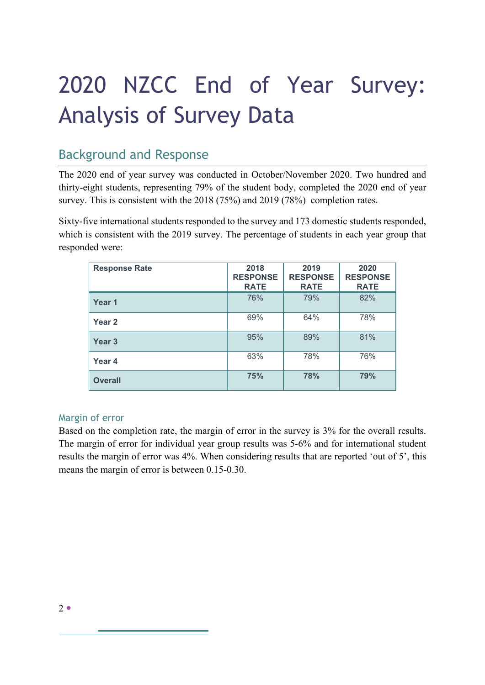# 2020 NZCC End of Year Survey: Analysis of Survey Data

# <span id="page-2-0"></span>Background and Response

The 2020 end of year survey was conducted in October/November 2020. Two hundred and thirty-eight students, representing 79% of the student body, completed the 2020 end of year survey. This is consistent with the 2018 (75%) and 2019 (78%) completion rates.

Sixty-five international students responded to the survey and 173 domestic students responded, which is consistent with the 2019 survey. The percentage of students in each year group that responded were:

| <b>Response Rate</b> | 2018<br><b>RESPONSE</b><br><b>RATE</b> | 2019<br><b>RESPONSE</b><br><b>RATE</b> | 2020<br><b>RESPONSE</b><br><b>RATE</b> |
|----------------------|----------------------------------------|----------------------------------------|----------------------------------------|
| Year 1               | 76%                                    | 79%                                    | 82%                                    |
| Year 2               | 69%                                    | 64%                                    | 78%                                    |
| Year <sub>3</sub>    | 95%                                    | 89%                                    | 81%                                    |
| Year 4               | 63%                                    | 78%                                    | 76%                                    |
| <b>Overall</b>       | 75%                                    | 78%                                    | 79%                                    |

#### <span id="page-2-1"></span>Margin of error

Based on the completion rate, the margin of error in the survey is 3% for the overall results. The margin of error for individual year group results was 5-6% and for international student results the margin of error was 4%. When considering results that are reported 'out of 5', this means the margin of error is between 0.15-0.30.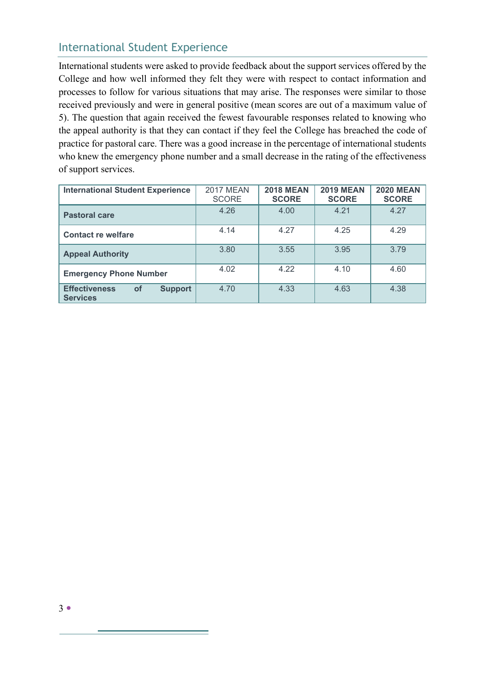# <span id="page-3-0"></span>International Student Experience

International students were asked to provide feedback about the support services offered by the College and how well informed they felt they were with respect to contact information and processes to follow for various situations that may arise. The responses were similar to those received previously and were in general positive (mean scores are out of a maximum value of 5). The question that again received the fewest favourable responses related to knowing who the appeal authority is that they can contact if they feel the College has breached the code of practice for pastoral care. There was a good increase in the percentage of international students who knew the emergency phone number and a small decrease in the rating of the effectiveness of support services.

| <b>International Student Experience</b>                                | <b>2017 MEAN</b><br><b>SCORE</b> | <b>2018 MEAN</b><br><b>SCORE</b> | <b>2019 MEAN</b><br><b>SCORE</b> | <b>2020 MEAN</b><br><b>SCORE</b> |
|------------------------------------------------------------------------|----------------------------------|----------------------------------|----------------------------------|----------------------------------|
| <b>Pastoral care</b>                                                   | 4.26                             | 4.00                             | 4.21                             | 4.27                             |
| <b>Contact re welfare</b>                                              | 4.14                             | 4.27                             | 4.25                             | 4.29                             |
| <b>Appeal Authority</b>                                                | 3.80                             | 3.55                             | 3.95                             | 3.79                             |
| <b>Emergency Phone Number</b>                                          | 4.02                             | 4.22                             | 4.10                             | 4.60                             |
| <b>Effectiveness</b><br><b>of</b><br><b>Support</b><br><b>Services</b> | 4.70                             | 4.33                             | 4.63                             | 4.38                             |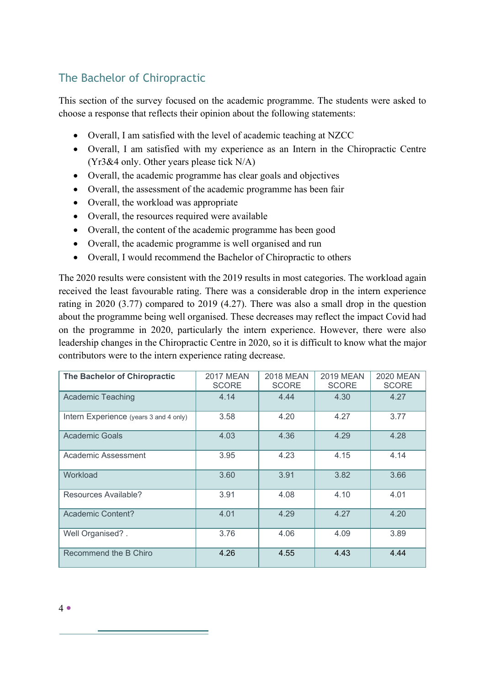# The Bachelor of Chiropractic

This section of the survey focused on the academic programme. The students were asked to choose a response that reflects their opinion about the following statements:

- Overall, I am satisfied with the level of academic teaching at NZCC
- Overall, I am satisfied with my experience as an Intern in the Chiropractic Centre (Yr3&4 only. Other years please tick N/A)
- Overall, the academic programme has clear goals and objectives
- Overall, the assessment of the academic programme has been fair
- Overall, the workload was appropriate
- Overall, the resources required were available
- Overall, the content of the academic programme has been good
- Overall, the academic programme is well organised and run
- Overall, I would recommend the Bachelor of Chiropractic to others

The 2020 results were consistent with the 2019 results in most categories. The workload again received the least favourable rating. There was a considerable drop in the intern experience rating in 2020 (3.77) compared to 2019 (4.27). There was also a small drop in the question about the programme being well organised. These decreases may reflect the impact Covid had on the programme in 2020, particularly the intern experience. However, there were also leadership changes in the Chiropractic Centre in 2020, so it is difficult to know what the major contributors were to the intern experience rating decrease.

| The Bachelor of Chiropractic           | <b>2017 MEAN</b><br><b>SCORE</b> | <b>2018 MEAN</b><br><b>SCORE</b> | <b>2019 MEAN</b><br><b>SCORE</b> | <b>2020 MEAN</b><br><b>SCORE</b> |
|----------------------------------------|----------------------------------|----------------------------------|----------------------------------|----------------------------------|
| <b>Academic Teaching</b>               | 4.14                             | 4.44                             | 4.30                             | 4.27                             |
| Intern Experience (years 3 and 4 only) | 3.58                             | 4.20                             | 4.27                             | 3.77                             |
| Academic Goals                         | 4.03                             | 4.36                             | 4.29                             | 4.28                             |
| Academic Assessment                    | 3.95                             | 4.23                             | 4.15                             | 4.14                             |
| Workload                               | 3.60                             | 3.91                             | 3.82                             | 3.66                             |
| Resources Available?                   | 3.91                             | 4.08                             | 4.10                             | 4.01                             |
| Academic Content?                      | 4.01                             | 4.29                             | 4.27                             | 4.20                             |
| Well Organised?.                       | 3.76                             | 4.06                             | 4.09                             | 3.89                             |
| Recommend the B Chiro                  | 4.26                             | 4.55                             | 4.43                             | 4.44                             |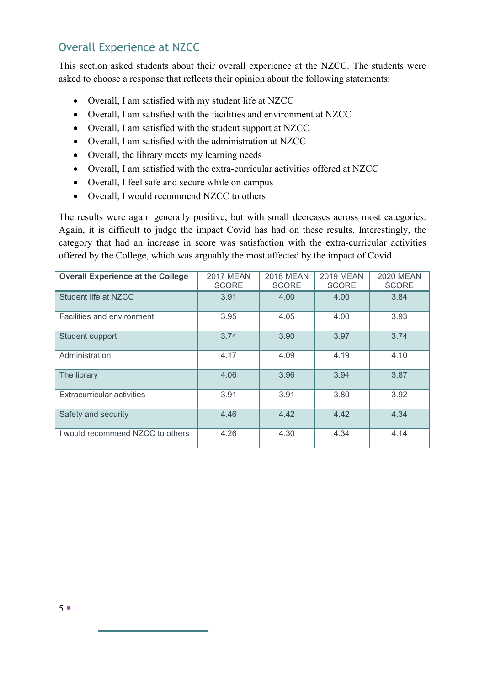# <span id="page-5-0"></span>Overall Experience at NZCC

This section asked students about their overall experience at the NZCC. The students were asked to choose a response that reflects their opinion about the following statements:

- Overall, I am satisfied with my student life at NZCC
- Overall, I am satisfied with the facilities and environment at NZCC
- Overall, I am satisfied with the student support at NZCC
- Overall, I am satisfied with the administration at NZCC
- Overall, the library meets my learning needs
- Overall, I am satisfied with the extra-curricular activities offered at NZCC
- Overall, I feel safe and secure while on campus
- Overall, I would recommend NZCC to others

The results were again generally positive, but with small decreases across most categories. Again, it is difficult to judge the impact Covid has had on these results. Interestingly, the category that had an increase in score was satisfaction with the extra-curricular activities offered by the College, which was arguably the most affected by the impact of Covid.

| <b>Overall Experience at the College</b> | <b>2017 MEAN</b><br><b>SCORE</b> | <b>2018 MEAN</b><br><b>SCORE</b> | <b>2019 MEAN</b><br><b>SCORE</b> | <b>2020 MEAN</b><br><b>SCORE</b> |
|------------------------------------------|----------------------------------|----------------------------------|----------------------------------|----------------------------------|
| Student life at NZCC                     | 3.91                             | 4.00                             | 4.00                             | 3.84                             |
| Facilities and environment               | 3.95                             | 4.05                             | 4.00                             | 3.93                             |
| Student support                          | 3.74                             | 3.90                             | 3.97                             | 3.74                             |
| Administration                           | 4.17                             | 4.09                             | 4.19                             | 4.10                             |
| The library                              | 4.06                             | 3.96                             | 3.94                             | 3.87                             |
| Extracurricular activities               | 3.91                             | 3.91                             | 3.80                             | 3.92                             |
| Safety and security                      | 4.46                             | 4.42                             | 4.42                             | 4.34                             |
| I would recommend NZCC to others         | 4.26                             | 4.30                             | 4.34                             | 4.14                             |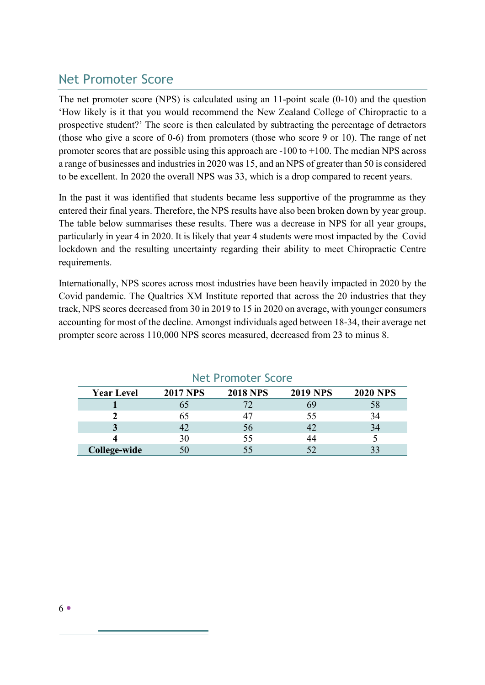# <span id="page-6-0"></span>Net Promoter Score

The net promoter score (NPS) is calculated using an 11-point scale (0-10) and the question 'How likely is it that you would recommend the New Zealand College of Chiropractic to a prospective student?' The score is then calculated by subtracting the percentage of detractors (those who give a score of 0-6) from promoters (those who score 9 or 10). The range of net promoter scores that are possible using this approach are -100 to +100. The median NPS across a range of businesses and industries in 2020 was 15, and an NPS of greater than 50 is considered to be excellent. In 2020 the overall NPS was 33, which is a drop compared to recent years.

In the past it was identified that students became less supportive of the programme as they entered their final years. Therefore, the NPS results have also been broken down by year group. The table below summarises these results. There was a decrease in NPS for all year groups, particularly in year 4 in 2020. It is likely that year 4 students were most impacted by the Covid lockdown and the resulting uncertainty regarding their ability to meet Chiropractic Centre requirements.

Internationally, NPS scores across most industries have been heavily impacted in 2020 by the Covid pandemic. The Qualtrics XM Institute reported that across the 20 industries that they track, NPS scores decreased from 30 in 2019 to 15 in 2020 on average, with younger consumers accounting for most of the decline. Amongst individuals aged between 18-34, their average net prompter score across 110,000 NPS scores measured, decreased from 23 to minus 8.

| <b>Year Level</b> | <b>2017 NPS</b> | <b>2018 NPS</b> | <b>2019 NPS</b> | <b>2020 NPS</b> |
|-------------------|-----------------|-----------------|-----------------|-----------------|
|                   |                 |                 |                 |                 |
|                   |                 |                 |                 |                 |
|                   |                 | 56              |                 |                 |
|                   | 30              | 55              |                 |                 |
| College-wide      |                 |                 |                 |                 |

### Net Promoter Score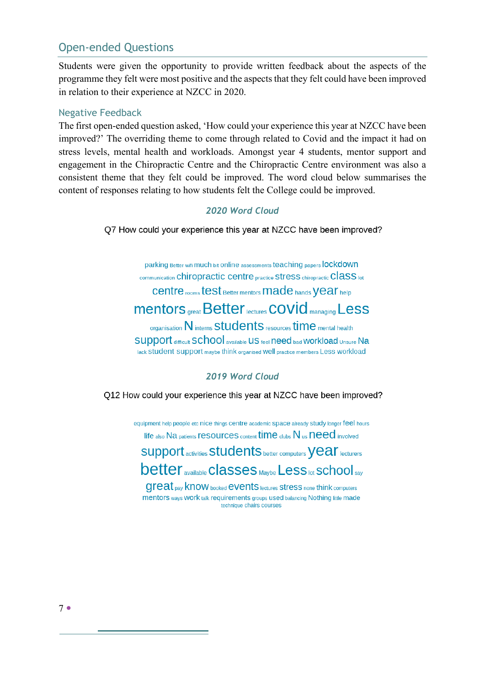# <span id="page-7-0"></span>Open-ended Questions

Students were given the opportunity to provide written feedback about the aspects of the programme they felt were most positive and the aspects that they felt could have been improved in relation to their experience at NZCC in 2020.

#### <span id="page-7-1"></span>Negative Feedback

The first open-ended question asked, 'How could your experience this year at NZCC have been improved?' The overriding theme to come through related to Covid and the impact it had on stress levels, mental health and workloads. Amongst year 4 students, mentor support and engagement in the Chiropractic Centre and the Chiropractic Centre environment was also a consistent theme that they felt could be improved. The word cloud below summarises the content of responses relating to how students felt the College could be improved.

#### *2020 Word Cloud*

Q7 How could your experience this year at NZCC have been improved?

parking Better wifi much bit online assessments teaching papers lockdown communication Chiropractic centre practice Stress chiropractic Class lot Centre rooms test Better mentors made hands Vear help **Mentors** great Better lectures COVID managing Less organisation N interns Students resources time mental health SUDDOIT difficult SC hool available US feel need bad Workload Unsure Na lack Student Support maybe think organised well practice members Less workload

#### *2019 Word Cloud*

Q12 How could your experience this year at NZCC have been improved?

equipment help people etc nice things centre academic space already study longer feel hours life also Na patients resources content time clubs N us need involved

Support activities Students better computers Vear lecturers **better** available **Classes** Maybe Less lot **SChool** say

**Great** pay know booked **events** lectures stress none think computers mentors ways Work talk requirements groups used balancing Nothing little made technique chairs courses